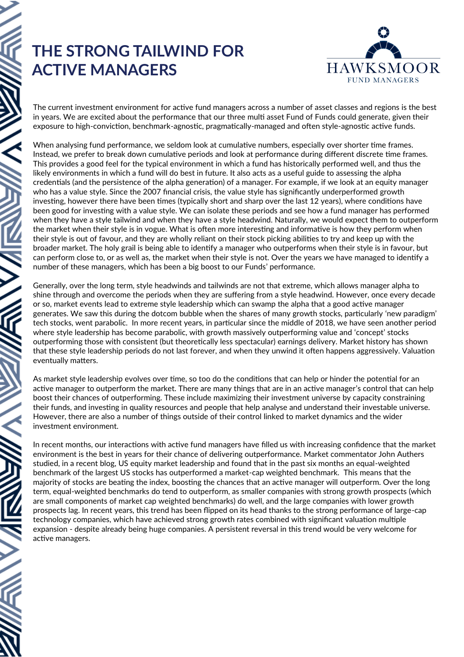## **THE STRONG TAILWIND FOR ACTIVE MANAGERS**



The current investment environment for active fund managers across a number of asset classes and regions is the best in years. We are excited about the performance that our three multi asset Fund of Funds could generate, given their exposure to high-conviction, benchmark-agnostic, pragmatically-managed and often style-agnostic active funds.

When analysing fund performance, we seldom look at cumulative numbers, especially over shorter time frames. Instead, we prefer to break down cumulative periods and look at performance during different discrete time frames. This provides a good feel for the typical environment in which a fund has historically performed well, and thus the likely environments in which a fund will do best in future. It also acts as a useful guide to assessing the alpha credentials (and the persistence of the alpha generation) of a manager. For example, if we look at an equity manager who has a value style. Since the 2007 financial crisis, the value style has significantly underperformed growth investing, however there have been times (typically short and sharp over the last 12 years), where conditions have been good for investing with a value style. We can isolate these periods and see how a fund manager has performed when they have a style tailwind and when they have a style headwind. Naturally, we would expect them to outperform the market when their style is in vogue. What is often more interesting and informative is how they perform when their style is out of favour, and they are wholly reliant on their stock picking abilities to try and keep up with the broader market. The holy grail is being able to identify a manager who outperforms when their style is in favour, but can perform close to, or as well as, the market when their style is not. Over the years we have managed to identify a number of these managers, which has been a big boost to our Funds' performance.

Generally, over the long term, style headwinds and tailwinds are not that extreme, which allows manager alpha to shine through and overcome the periods when they are suffering from a style headwind. However, once every decade or so, market events lead to extreme style leadership which can swamp the alpha that a good active manager generates. We saw this during the dotcom bubble when the shares of many growth stocks, particularly 'new paradigm' tech stocks, went parabolic. In more recent years, in particular since the middle of 2018, we have seen another period where style leadership has become parabolic, with growth massively outperforming value and 'concept' stocks outperforming those with consistent (but theoretically less spectacular) earnings delivery. Market history has shown that these style leadership periods do not last forever, and when they unwind it often happens aggressively. Valuation eventually matters.

As market style leadership evolves over time, so too do the conditions that can help or hinder the potential for an active manager to outperform the market. There are many things that are in an active manager's control that can help boost their chances of outperforming. These include maximizing their investment universe by capacity constraining their funds, and investing in quality resources and people that help analyse and understand their investable universe. However, there are also a number of things outside of their control linked to market dynamics and the wider investment environment.

In recent months, our interactions with active fund managers have filled us with increasing confidence that the market environment is the best in years for their chance of delivering outperformance. Market commentator John Authers studied, in a recent blog, US equity market leadership and found that in the past six months an equal-weighted benchmark of the largest US stocks has outperformed a market-cap weighted benchmark. This means that the majority of stocks are beating the index, boosting the chances that an active manager will outperform. Over the long term, equal-weighted benchmarks do tend to outperform, as smaller companies with strong growth prospects (which are small components of market cap weighted benchmarks) do well, and the large companies with lower growth prospects lag. In recent years, this trend has been flipped on its head thanks to the strong performance of large-cap technology companies, which have achieved strong growth rates combined with significant valuation multiple expansion - despite already being huge companies. A persistent reversal in this trend would be very welcome for active managers.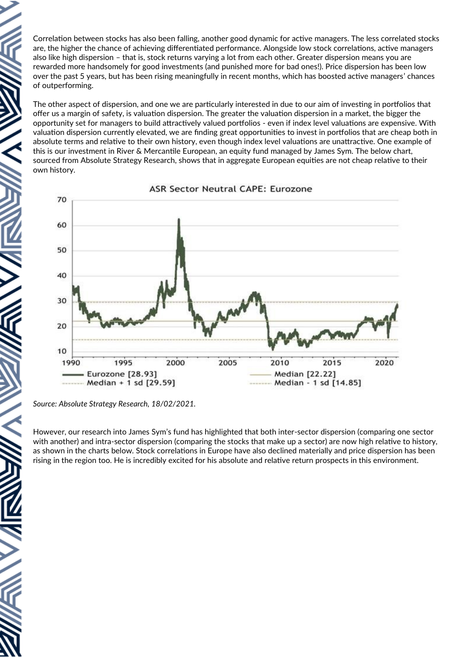Correlation between stocks has also been falling, another good dynamic for active managers. The less correlated stocks are, the higher the chance of achieving differentiated performance. Alongside low stock correlations, active managers also like high dispersion – that is, stock returns varying a lot from each other. Greater dispersion means you are rewarded more handsomely for good investments (and punished more for bad ones!). Price dispersion has been low over the past 5 years, but has been rising meaningfully in recent months, which has boosted active managers' chances of outperforming.

The other aspect of dispersion, and one we are particularly interested in due to our aim of investing in portfolios that offer us a margin of safety, is valuation dispersion. The greater the valuation dispersion in a market, the bigger the opportunity set for managers to build attractively valued portfolios - even if index level valuations are expensive. With valuation dispersion currently elevated, we are finding great opportunities to invest in portfolios that are cheap both in absolute terms and relative to their own history, even though index level valuations are unattractive. One example of this is our investment in River & Mercantile European, an equity fund managed by James Sym. The below chart, sourced from Absolute Strategy Research, shows that in aggregate European equities are not cheap relative to their own history.



## **ASR Sector Neutral CAPE: Eurozone**

However, our research into James Sym's fund has highlighted that both inter-sector dispersion (comparing one sector with another) and intra-sector dispersion (comparing the stocks that make up a sector) are now high relative to history, as shown in the charts below. Stock correlations in Europe have also declined materially and price dispersion has been rising in the region too. He is incredibly excited for his absolute and relative return prospects in this environment.

*Source: Absolute Strategy Research, 18/02/2021.*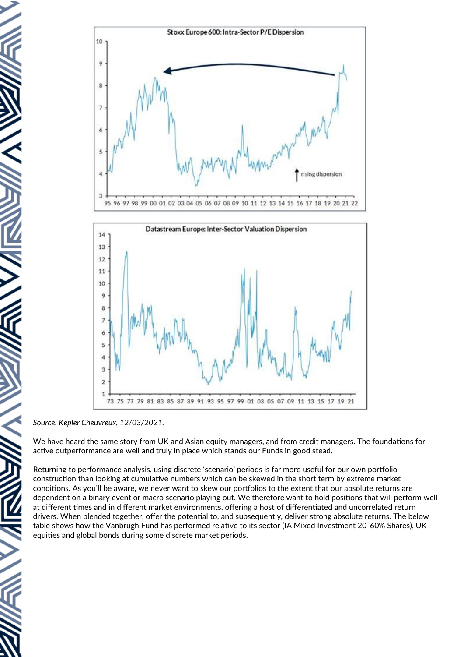



*Source: Kepler Cheuvreux, 12/03/2021.*

We have heard the same story from UK and Asian equity managers, and from credit managers. The foundations for active outperformance are well and truly in place which stands our Funds in good stead.

Returning to performance analysis, using discrete 'scenario' periods is far more useful for our own portfolio construction than looking at cumulative numbers which can be skewed in the short term by extreme market conditions. As you'll be aware, we never want to skew our portfolios to the extent that our absolute returns are dependent on a binary event or macro scenario playing out. We therefore want to hold positions that will perform well at different times and in different market environments, offering a host of differentiated and uncorrelated return drivers. When blended together, offer the potential to, and subsequently, deliver strong absolute returns. The below table shows how the Vanbrugh Fund has performed relative to its sector (IA Mixed Investment 20-60% Shares), UK equities and global bonds during some discrete market periods.